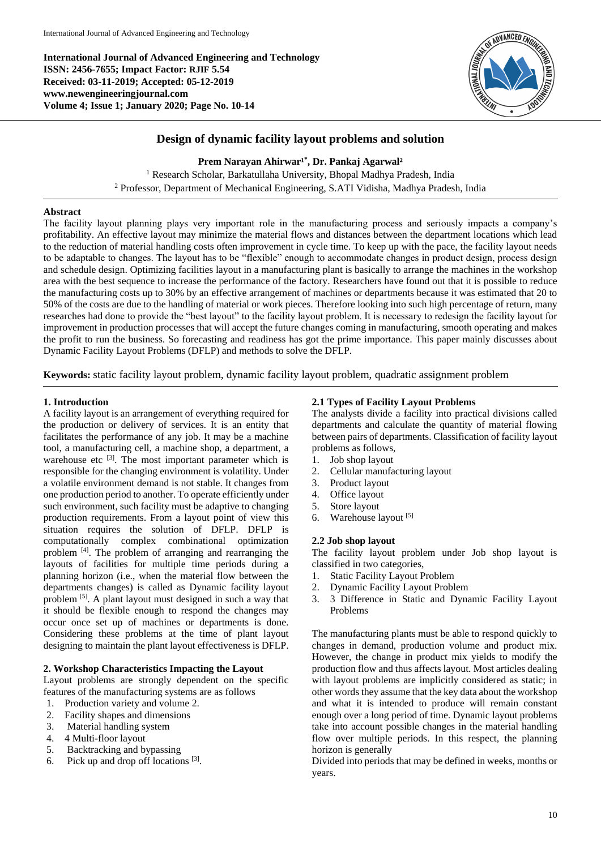**International Journal of Advanced Engineering and Technology ISSN: 2456-7655; Impact Factor: RJIF 5.54 Received: 03-11-2019; Accepted: 05-12-2019 www.newengineeringjournal.com Volume 4; Issue 1; January 2020; Page No. 10-14**



# **Design of dynamic facility layout problems and solution**

Prem Narayan Ahirwar<sup>1\*</sup>, Dr. Pankaj Agarwal<sup>2</sup>

<sup>1</sup> Research Scholar, Barkatullaha University, Bhopal Madhya Pradesh, India <sup>2</sup> Professor, Department of Mechanical Engineering, S.ATI Vidisha, Madhya Pradesh, India

#### **Abstract**

The facility layout planning plays very important role in the manufacturing process and seriously impacts a company's profitability. An effective layout may minimize the material flows and distances between the department locations which lead to the reduction of material handling costs often improvement in cycle time. To keep up with the pace, the facility layout needs to be adaptable to changes. The layout has to be "flexible" enough to accommodate changes in product design, process design and schedule design. Optimizing facilities layout in a manufacturing plant is basically to arrange the machines in the workshop area with the best sequence to increase the performance of the factory. Researchers have found out that it is possible to reduce the manufacturing costs up to 30% by an effective arrangement of machines or departments because it was estimated that 20 to 50% of the costs are due to the handling of material or work pieces. Therefore looking into such high percentage of return, many researches had done to provide the "best layout" to the facility layout problem. It is necessary to redesign the facility layout for improvement in production processes that will accept the future changes coming in manufacturing, smooth operating and makes the profit to run the business. So forecasting and readiness has got the prime importance. This paper mainly discusses about Dynamic Facility Layout Problems (DFLP) and methods to solve the DFLP.

**Keywords:** static facility layout problem, dynamic facility layout problem, quadratic assignment problem

#### **1. Introduction**

A facility layout is an arrangement of everything required for the production or delivery of services. It is an entity that facilitates the performance of any job. It may be a machine tool, a manufacturing cell, a machine shop, a department, a warehouse etc <sup>[3]</sup>. The most important parameter which is responsible for the changing environment is volatility. Under a volatile environment demand is not stable. It changes from one production period to another. To operate efficiently under such environment, such facility must be adaptive to changing production requirements. From a layout point of view this situation requires the solution of DFLP. DFLP is computationally complex combinational optimization problem [4]. The problem of arranging and rearranging the layouts of facilities for multiple time periods during a planning horizon (i.e., when the material flow between the departments changes) is called as Dynamic facility layout problem [5]. A plant layout must designed in such a way that it should be flexible enough to respond the changes may occur once set up of machines or departments is done. Considering these problems at the time of plant layout designing to maintain the plant layout effectiveness is DFLP.

#### **2. Workshop Characteristics Impacting the Layout**

Layout problems are strongly dependent on the specific features of the manufacturing systems are as follows

- 1. Production variety and volume 2.
- 2. Facility shapes and dimensions
- 3. Material handling system
- 4. 4 Multi-floor layout
- 5. Backtracking and bypassing
- 6. Pick up and drop off locations  $[3]$ .

## **2.1 Types of Facility Layout Problems**

The analysts divide a facility into practical divisions called departments and calculate the quantity of material flowing between pairs of departments. Classification of facility layout problems as follows,

- 1. Job shop layout
- 2. Cellular manufacturing layout
- 3. Product layout
- 4. Office layout
- 5. Store layout
- Warehouse layout<sup>[5]</sup>

#### **2.2 Job shop layout**

The facility layout problem under Job shop layout is classified in two categories,

- 1. Static Facility Layout Problem
- 2. Dynamic Facility Layout Problem
- 3. 3 Difference in Static and Dynamic Facility Layout Problems

The manufacturing plants must be able to respond quickly to changes in demand, production volume and product mix. However, the change in product mix yields to modify the production flow and thus affects layout. Most articles dealing with layout problems are implicitly considered as static; in other words they assume that the key data about the workshop and what it is intended to produce will remain constant enough over a long period of time. Dynamic layout problems take into account possible changes in the material handling flow over multiple periods. In this respect, the planning horizon is generally

Divided into periods that may be defined in weeks, months or years.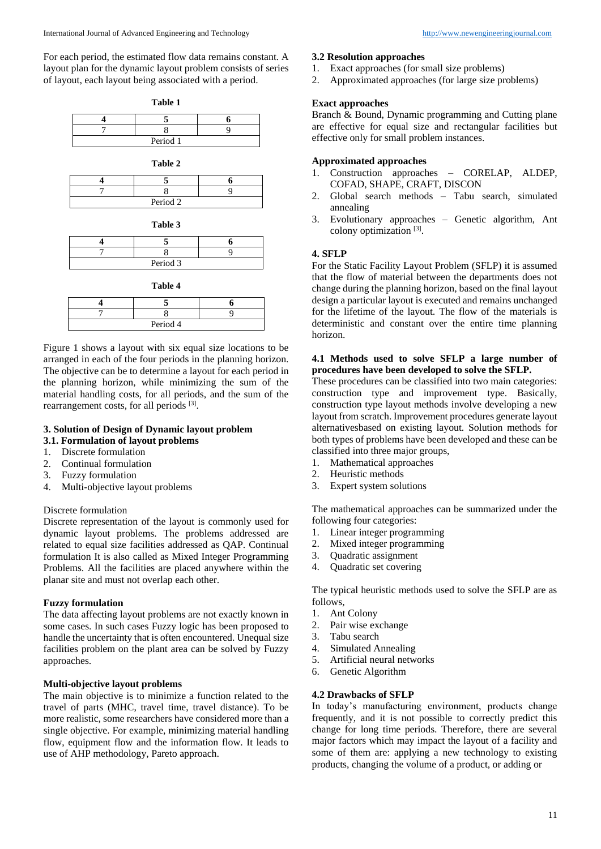For each period, the estimated flow data remains constant. A layout plan for the dynamic layout problem consists of series of layout, each layout being associated with a period.





| Period 3 |  |
|----------|--|

**Table 4**

| Period 4 |  |  |  |
|----------|--|--|--|

Figure 1 shows a layout with six equal size locations to be arranged in each of the four periods in the planning horizon. The objective can be to determine a layout for each period in the planning horizon, while minimizing the sum of the material handling costs, for all periods, and the sum of the rearrangement costs, for all periods [3].

# **3. Solution of Design of Dynamic layout problem**

- **3.1. Formulation of layout problems**
- 1. Discrete formulation
- 2. Continual formulation
- 3. Fuzzy formulation
- 4. Multi-objective layout problems

# Discrete formulation

Discrete representation of the layout is commonly used for dynamic layout problems. The problems addressed are related to equal size facilities addressed as QAP. Continual formulation It is also called as Mixed Integer Programming Problems. All the facilities are placed anywhere within the planar site and must not overlap each other.

# **Fuzzy formulation**

The data affecting layout problems are not exactly known in some cases. In such cases Fuzzy logic has been proposed to handle the uncertainty that is often encountered. Unequal size facilities problem on the plant area can be solved by Fuzzy approaches.

# **Multi-objective layout problems**

The main objective is to minimize a function related to the travel of parts (MHC, travel time, travel distance). To be more realistic, some researchers have considered more than a single objective. For example, minimizing material handling flow, equipment flow and the information flow. It leads to use of AHP methodology, Pareto approach.

#### **3.2 Resolution approaches**

- 1. Exact approaches (for small size problems)
- 2. Approximated approaches (for large size problems)

## **Exact approaches**

Branch & Bound, Dynamic programming and Cutting plane are effective for equal size and rectangular facilities but effective only for small problem instances.

# **Approximated approaches**

- 1. Construction approaches CORELAP, ALDEP, COFAD, SHAPE, CRAFT, DISCON
- 2. Global search methods Tabu search, simulated annealing
- 3. Evolutionary approaches Genetic algorithm, Ant colony optimization<sup>[3]</sup>.

# **4. SFLP**

For the Static Facility Layout Problem (SFLP) it is assumed that the flow of material between the departments does not change during the planning horizon, based on the final layout design a particular layout is executed and remains unchanged for the lifetime of the layout. The flow of the materials is deterministic and constant over the entire time planning horizon.

#### **4.1 Methods used to solve SFLP a large number of procedures have been developed to solve the SFLP.**

These procedures can be classified into two main categories: construction type and improvement type. Basically, construction type layout methods involve developing a new layout from scratch. Improvement procedures generate layout alternativesbased on existing layout. Solution methods for both types of problems have been developed and these can be classified into three major groups,

- 1. Mathematical approaches
- 2. Heuristic methods
- 3. Expert system solutions

The mathematical approaches can be summarized under the following four categories:

- 1. Linear integer programming
- 2. Mixed integer programming
- 3. Quadratic assignment
- 4. Quadratic set covering

The typical heuristic methods used to solve the SFLP are as follows,

- 1. Ant Colony
- 2. Pair wise exchange
- 3. Tabu search
- 4. Simulated Annealing
- 5. Artificial neural networks
- 6. Genetic Algorithm

#### **4.2 Drawbacks of SFLP**

In today's manufacturing environment, products change frequently, and it is not possible to correctly predict this change for long time periods. Therefore, there are several major factors which may impact the layout of a facility and some of them are: applying a new technology to existing products, changing the volume of a product, or adding or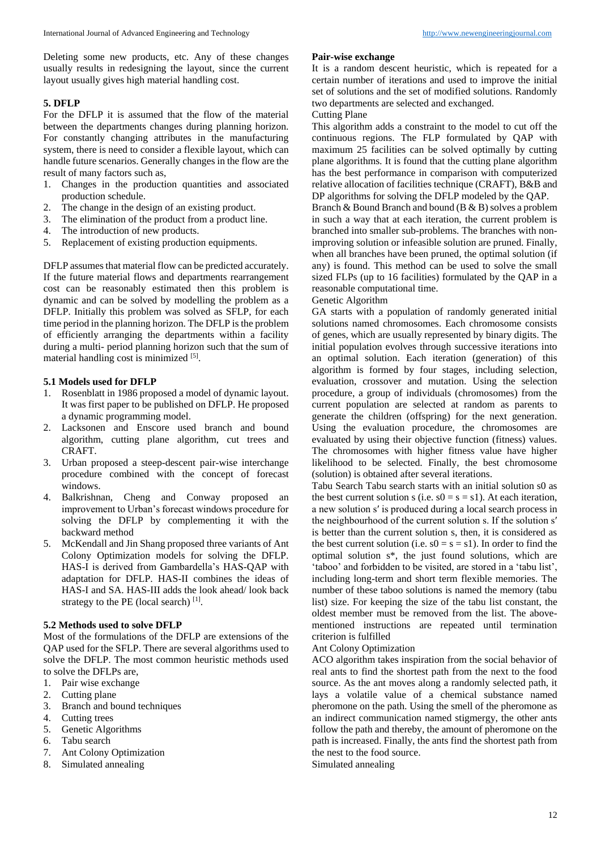Deleting some new products, etc. Any of these changes usually results in redesigning the layout, since the current layout usually gives high material handling cost.

#### **5. DFLP**

For the DFLP it is assumed that the flow of the material between the departments changes during planning horizon. For constantly changing attributes in the manufacturing system, there is need to consider a flexible layout, which can handle future scenarios. Generally changes in the flow are the result of many factors such as,

- 1. Changes in the production quantities and associated production schedule.
- 2. The change in the design of an existing product.
- 3. The elimination of the product from a product line.
- 4. The introduction of new products.
- 5. Replacement of existing production equipments.

DFLP assumes that material flow can be predicted accurately. If the future material flows and departments rearrangement cost can be reasonably estimated then this problem is dynamic and can be solved by modelling the problem as a DFLP. Initially this problem was solved as SFLP, for each time period in the planning horizon. The DFLP is the problem of efficiently arranging the departments within a facility during a multi- period planning horizon such that the sum of material handling cost is minimized [5].

#### **5.1 Models used for DFLP**

- 1. Rosenblatt in 1986 proposed a model of dynamic layout. It was first paper to be published on DFLP. He proposed a dynamic programming model.
- 2. Lacksonen and Enscore used branch and bound algorithm, cutting plane algorithm, cut trees and CRAFT.
- 3. Urban proposed a steep-descent pair-wise interchange procedure combined with the concept of forecast windows.
- 4. Balkrishnan, Cheng and Conway proposed an improvement to Urban's forecast windows procedure for solving the DFLP by complementing it with the backward method
- 5. McKendall and Jin Shang proposed three variants of Ant Colony Optimization models for solving the DFLP. HAS-I is derived from Gambardella's HAS-QAP with adaptation for DFLP. HAS-II combines the ideas of HAS-I and SA. HAS-III adds the look ahead/ look back strategy to the PE (local search) $[1]$ .

#### **5.2 Methods used to solve DFLP**

Most of the formulations of the DFLP are extensions of the QAP used for the SFLP. There are several algorithms used to solve the DFLP. The most common heuristic methods used to solve the DFLPs are,

- 1. Pair wise exchange
- 2. Cutting plane
- 3. Branch and bound techniques
- 4. Cutting trees
- 5. Genetic Algorithms
- 6. Tabu search
- 7. Ant Colony Optimization
- 8. Simulated annealing

#### **Pair-wise exchange**

It is a random descent heuristic, which is repeated for a certain number of iterations and used to improve the initial set of solutions and the set of modified solutions. Randomly two departments are selected and exchanged.

# Cutting Plane

This algorithm adds a constraint to the model to cut off the continuous regions. The FLP formulated by QAP with maximum 25 facilities can be solved optimally by cutting plane algorithms. It is found that the cutting plane algorithm has the best performance in comparison with computerized relative allocation of facilities technique (CRAFT), B&B and DP algorithms for solving the DFLP modeled by the QAP.

Branch & Bound Branch and bound (B & B) solves a problem in such a way that at each iteration, the current problem is branched into smaller sub-problems. The branches with nonimproving solution or infeasible solution are pruned. Finally, when all branches have been pruned, the optimal solution (if any) is found. This method can be used to solve the small sized FLPs (up to 16 facilities) formulated by the QAP in a reasonable computational time.

#### Genetic Algorithm

GA starts with a population of randomly generated initial solutions named chromosomes. Each chromosome consists of genes, which are usually represented by binary digits. The initial population evolves through successive iterations into an optimal solution. Each iteration (generation) of this algorithm is formed by four stages, including selection, evaluation, crossover and mutation. Using the selection procedure, a group of individuals (chromosomes) from the current population are selected at random as parents to generate the children (offspring) for the next generation. Using the evaluation procedure, the chromosomes are evaluated by using their objective function (fitness) values. The chromosomes with higher fitness value have higher likelihood to be selected. Finally, the best chromosome (solution) is obtained after several iterations.

Tabu Search Tabu search starts with an initial solution s0 as the best current solution s (i.e.  $s0 = s = s1$ ). At each iteration, a new solution s′ is produced during a local search process in the neighbourhood of the current solution s. If the solution s′ is better than the current solution s, then, it is considered as the best current solution (i.e.  $s0 = s = s1$ ). In order to find the optimal solution s\*, the just found solutions, which are 'taboo' and forbidden to be visited, are stored in a 'tabu list', including long-term and short term flexible memories. The number of these taboo solutions is named the memory (tabu list) size. For keeping the size of the tabu list constant, the oldest member must be removed from the list. The abovementioned instructions are repeated until termination criterion is fulfilled

#### Ant Colony Optimization

ACO algorithm takes inspiration from the social behavior of real ants to find the shortest path from the next to the food source. As the ant moves along a randomly selected path, it lays a volatile value of a chemical substance named pheromone on the path. Using the smell of the pheromone as an indirect communication named stigmergy, the other ants follow the path and thereby, the amount of pheromone on the path is increased. Finally, the ants find the shortest path from the nest to the food source.

Simulated annealing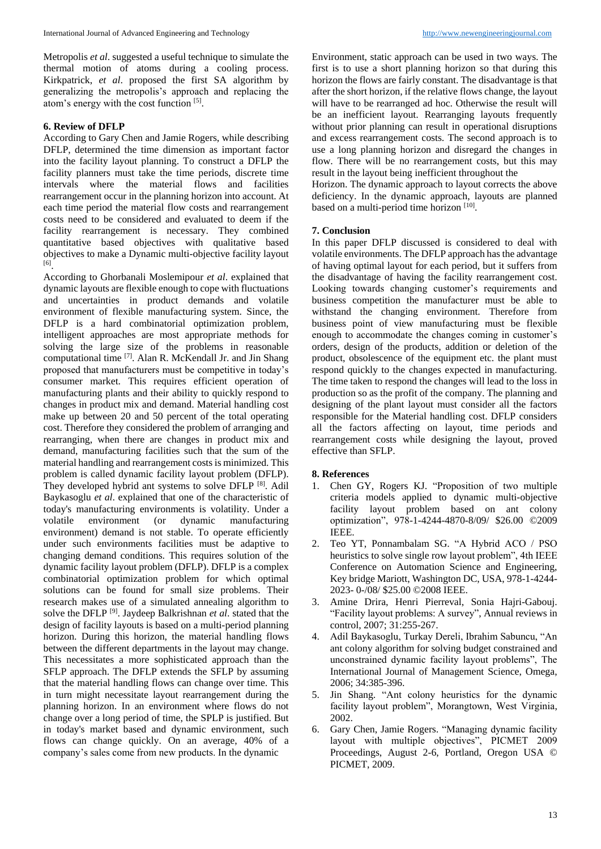Metropolis *et al*. suggested a useful technique to simulate the thermal motion of atoms during a cooling process. Kirkpatrick, *et al*. proposed the first SA algorithm by generalizing the metropolis's approach and replacing the atom's energy with the cost function [5].

## **6. Review of DFLP**

According to Gary Chen and Jamie Rogers, while describing DFLP, determined the time dimension as important factor into the facility layout planning. To construct a DFLP the facility planners must take the time periods, discrete time intervals where the material flows and facilities rearrangement occur in the planning horizon into account. At each time period the material flow costs and rearrangement costs need to be considered and evaluated to deem if the facility rearrangement is necessary. They combined quantitative based objectives with qualitative based objectives to make a Dynamic multi-objective facility layout [6] .

According to Ghorbanali Moslemipour *et al*. explained that dynamic layouts are flexible enough to cope with fluctuations and uncertainties in product demands and volatile environment of flexible manufacturing system. Since, the DFLP is a hard combinatorial optimization problem, intelligent approaches are most appropriate methods for solving the large size of the problems in reasonable computational time [7]. Alan R. McKendall Jr. and Jin Shang proposed that manufacturers must be competitive in today's consumer market. This requires efficient operation of manufacturing plants and their ability to quickly respond to changes in product mix and demand. Material handling cost make up between 20 and 50 percent of the total operating cost. Therefore they considered the problem of arranging and rearranging, when there are changes in product mix and demand, manufacturing facilities such that the sum of the material handling and rearrangement costs is minimized. This problem is called dynamic facility layout problem (DFLP). They developed hybrid ant systems to solve DFLP [8]. Adil Baykasoglu *et al*. explained that one of the characteristic of today's manufacturing environments is volatility. Under a volatile environment (or dynamic manufacturing environment) demand is not stable. To operate efficiently under such environments facilities must be adaptive to changing demand conditions. This requires solution of the dynamic facility layout problem (DFLP). DFLP is a complex combinatorial optimization problem for which optimal solutions can be found for small size problems. Their research makes use of a simulated annealing algorithm to solve the DFLP [9]. Jaydeep Balkrishnan *et al*. stated that the design of facility layouts is based on a multi-period planning horizon. During this horizon, the material handling flows between the different departments in the layout may change. This necessitates a more sophisticated approach than the SFLP approach. The DFLP extends the SFLP by assuming that the material handling flows can change over time. This in turn might necessitate layout rearrangement during the planning horizon. In an environment where flows do not change over a long period of time, the SPLP is justified. But in today's market based and dynamic environment, such flows can change quickly. On an average, 40% of a company's sales come from new products. In the dynamic

Environment, static approach can be used in two ways. The first is to use a short planning horizon so that during this horizon the flows are fairly constant. The disadvantage is that after the short horizon, if the relative flows change, the layout will have to be rearranged ad hoc. Otherwise the result will be an inefficient layout. Rearranging layouts frequently without prior planning can result in operational disruptions and excess rearrangement costs. The second approach is to use a long planning horizon and disregard the changes in flow. There will be no rearrangement costs, but this may result in the layout being inefficient throughout the

Horizon. The dynamic approach to layout corrects the above deficiency. In the dynamic approach, layouts are planned based on a multi-period time horizon [10].

## **7. Conclusion**

In this paper DFLP discussed is considered to deal with volatile environments. The DFLP approach has the advantage of having optimal layout for each period, but it suffers from the disadvantage of having the facility rearrangement cost. Looking towards changing customer's requirements and business competition the manufacturer must be able to withstand the changing environment. Therefore from business point of view manufacturing must be flexible enough to accommodate the changes coming in customer's orders, design of the products, addition or deletion of the product, obsolescence of the equipment etc. the plant must respond quickly to the changes expected in manufacturing. The time taken to respond the changes will lead to the loss in production so as the profit of the company. The planning and designing of the plant layout must consider all the factors responsible for the Material handling cost. DFLP considers all the factors affecting on layout, time periods and rearrangement costs while designing the layout, proved effective than SFLP.

#### **8. References**

- 1. Chen GY, Rogers KJ. "Proposition of two multiple criteria models applied to dynamic multi-objective facility layout problem based on ant colony optimization", 978-1-4244-4870-8/09/ \$26.00 ©2009 IEEE.
- 2. Teo YT, Ponnambalam SG. "A Hybrid ACO / PSO heuristics to solve single row layout problem", 4th IEEE Conference on Automation Science and Engineering, Key bridge Mariott, Washington DC, USA, 978-1-4244- 2023- 0-/08/ \$25.00 ©2008 IEEE.
- 3. Amine Drira, Henri Pierreval, Sonia Hajri-Gabouj. "Facility layout problems: A survey", Annual reviews in control, 2007; 31:255-267.
- 4. Adil Baykasoglu, Turkay Dereli, Ibrahim Sabuncu, "An ant colony algorithm for solving budget constrained and unconstrained dynamic facility layout problems", The International Journal of Management Science, Omega, 2006; 34:385-396.
- 5. Jin Shang. "Ant colony heuristics for the dynamic facility layout problem", Morangtown, West Virginia, 2002.
- 6. Gary Chen, Jamie Rogers. "Managing dynamic facility layout with multiple objectives", PICMET 2009 Proceedings, August 2-6, Portland, Oregon USA © PICMET, 2009.